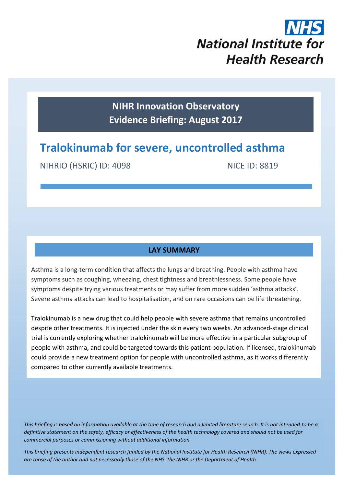

**NIHR Innovation Observatory Evidence Briefing: August 2017**

# **Tralokinumab for severe, uncontrolled asthma**

NIHRIO (HSRIC) ID: 4098 NICE ID: 8819

# **LAY SUMMARY**

Asthma is a long-term condition that affects the lungs and breathing. People with asthma have symptoms such as coughing, wheezing, chest tightness and breathlessness. Some people have symptoms despite trying various treatments or may suffer from more sudden 'asthma attacks'. Severe asthma attacks can lead to hospitalisation, and on rare occasions can be life threatening.

Tralokinumab is a new drug that could help people with severe asthma that remains uncontrolled despite other treatments. It is injected under the skin every two weeks. An advanced-stage clinical trial is currently exploring whether tralokinumab will be more effective in a particular subgroup of people with asthma, and could be targeted towards this patient population. If licensed, tralokinumab could provide a new treatment option for people with uncontrolled asthma, as it works differently compared to other currently available treatments.

*This briefing is based on information available at the time of research and a limited literature search. It is not intended to be a definitive statement on the safety, efficacy or effectiveness of the health technology covered and should not be used for commercial purposes or commissioning without additional information.*

1 *This briefing presents independent research funded by the National Institute for Health Research (NIHR). The views expressed are those of the author and not necessarily those of the NHS, the NIHR or the Department of Health.*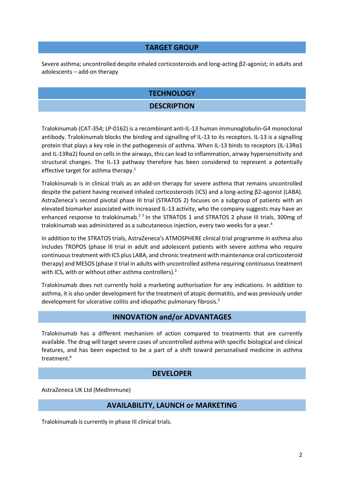#### **TARGET GROUP**

Severe asthma; uncontrolled despite inhaled corticosteroids and long-acting β2-agonist; in adults and adolescents – add-on therapy

# **TECHNOLOGY**

## <span id="page-1-1"></span>**DESCRIPTION**

Tralokinumab (CAT-354; LP-0162) is a recombinant anti-IL-13 human immunoglobulin-G4 monoclonal antibody. Tralokinumab blocks the binding and signalling of IL-13 to its receptors. IL-13 is a signalling protein that plays a key role in the pathogenesis of asthma. When IL-13 binds to receptors (IL-13Rα1 and IL-13Rα2) found on cells in the airways, this can lead to inflammation, airway hypersensitivity and structural changes. The IL-13 pathway therefore has been considered to represent a potentially effective target for asthma therapy.<sup>1</sup>

Tralokinumab is in clinical trials as an add-on therapy for severe asthma that remains uncontrolled despite the patient having received inhaled corticosteroids (ICS) and a long-acting β2-agonist (LABA). AstraZeneca's second pivotal phase III trial (STRATOS 2) focuses on a subgroup of patients with an elevated biomarker associated with increased IL-13 activity, who the company suggests may have an enhanced response to tralokinumab.<sup>23</sup> In the STRATOS 1 and STRATOS 2 phase III trials, 300mg of tralokinumab was administered as a subcutaneous injection, every two weeks for a year.<sup>4</sup>

<span id="page-1-0"></span>In addition to the STRATOS trials, AstraZeneca's ATMOSPHERE clinical trial programme in asthma also includes TROPOS (phase III trial in adult and adolescent patients with severe asthma who require continuous treatment with ICS plus LABA, and chronic treatment with maintenance oral corticosteroid therapy) and MESOS (phase II trial in adults with uncontrolled asthma requiring continuous treatment with ICS, with or without other asthma controllers)[.](#page-1-0)<sup>2</sup>

Tralokinumab does not currently hold a marketing authorisation for any indications. In addition to asthma, it is also under development for the treatment of atopic dermatitis, and was previously under development for ulcerative colitis and idiopathic pulmonary fibrosis.<sup>5</sup>

## **INNOVATION and/or ADVANTAGES**

Tralokinumab has a different mechanism of action compared to treatments that are currently available. The drug will target severe cases of uncontrolled asthma with specific biological and clinical features, and has been expected to be a part of a shift toward personalised medicine in asthma treatment.<sup>6</sup>

## **DEVELOPER**

AstraZeneca UK Ltd (MedImmune)

## **AVAILABILITY, LAUNCH or MARKETING**

Tralokinumab is currently in phase III clinical trials.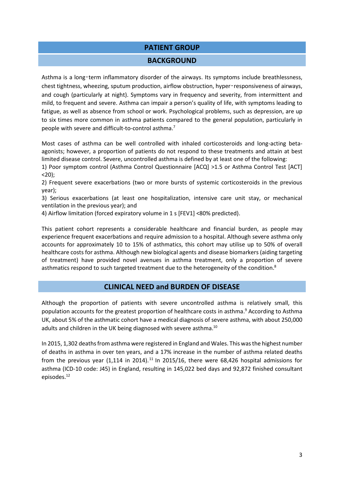## **PATIENT GROUP**

#### <span id="page-2-0"></span>**BACKGROUND**

Asthma is a long‑term inflammatory disorder of the airways. Its symptoms include breathlessness, chest tightness, wheezing, sputum production, airflow obstruction, hyper-responsiveness of airways, and cough (particularly at night). Symptoms vary in frequency and severity, from intermittent and mild, to frequent and severe. Asthma can impair a person's quality of life, with symptoms leading to fatigue, as well as absence from school or work. Psychological problems, such as depression, are up to six times more common in asthma patients compared to the general population, particularly in people with severe and difficult-to-control asthma.<sup>7</sup>

Most cases of asthma can be well controlled with inhaled corticosteroids and long-acting betaagonists; however, a proportion of patients do not respond to these treatments and attain at best limited disease control. Severe, uncontrolled asthma is defined by at least one of the following:

1) Poor symptom control (Asthma Control Questionnaire [ACQ] >1.5 or Asthma Control Test [ACT]  $<$  20):

2) Frequent severe exacerbations (two or more bursts of systemic corticosteroids in the previous year);

3) Serious exacerbations (at least one hospitalization, intensive care unit stay, or mechanical ventilation in the previous year); and

4) Airflow limitation (forced expiratory volume in 1 s [FEV1] <80% predicted).

This patient cohort represents a considerable healthcare and financial burden, as people may experience frequent exacerbations and require admission to a hospital. Although severe asthma only accounts for approximately 10 to 15% of asthmatics, this cohort may utilise up to 50% of overall healthcare costs for asthma. Although new biological agents and disease biomarkers (aiding targeting of treatment) have provided novel avenues in asthma treatment, only a proportion of severe asthmatics respond to such targeted treatment due to the heterogeneity of the condition.<sup>8</sup>

## <span id="page-2-1"></span>**CLINICAL NEED and BURDEN OF DISEASE**

Although the proportion of patients with severe uncontrolled asthma is relatively small, this population accounts for the greatest proportion of healthcare costs in asthma. <sup>9</sup> According to Asthma UK, about 5% of the asthmatic cohort have a medical diagnosis of severe asthma, with about 250,000 adults and children in the UK being diagnosed with severe asthma.<sup>10</sup>

In 2015, 1,302 deaths from asthma were registered in England and Wales. This was the highest number of deaths in asthma in over ten years, and a 17% increase in the number of asthma related deaths from the previous year  $(1,114$  in 2014).<sup>11</sup> In 2015/16, there were 68,426 hospital admissions for asthma (ICD-10 code: J45) in England, resulting in 145,022 bed days and 92,872 finished consultant episodes. 12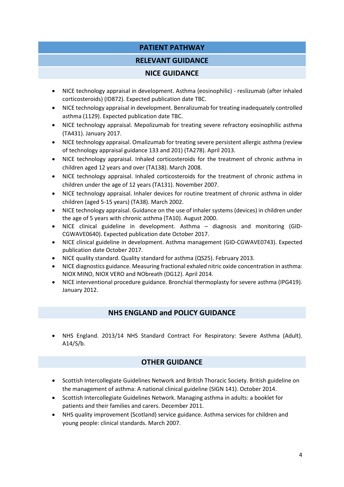# **PATIENT PATHWAY**

## **RELEVANT GUIDANCE**

## **NICE GUIDANCE**

- NICE technology appraisal in development. Asthma (eosinophilic) reslizumab (after inhaled corticosteroids) (ID872). Expected publication date TBC.
- NICE technology appraisal in development. Benralizumab for treating inadequately controlled asthma (1129). Expected publication date TBC.
- NICE technology appraisal. Mepolizumab for treating severe refractory eosinophilic asthma (TA431). January 2017.
- NICE technology appraisal. Omalizumab for treating severe persistent allergic asthma (review of technology appraisal guidance 133 and 201) (TA278). April 2013.
- NICE technology appraisal. Inhaled corticosteroids for the treatment of chronic asthma in children aged 12 years and over (TA138). March 2008.
- NICE technology appraisal. Inhaled corticosteroids for the treatment of chronic asthma in children under the age of 12 years (TA131). November 2007.
- NICE technology appraisal. Inhaler devices for routine treatment of chronic asthma in older children (aged 5-15 years) (TA38). March 2002.
- NICE technology appraisal. Guidance on the use of inhaler systems (devices) in children under the age of 5 years with chronic asthma (TA10). August 2000.
- NICE clinical guideline in development. Asthma diagnosis and monitoring (GID-CGWAVE0640). Expected publication date October 2017.
- NICE clinical guideline in development. Asthma management (GID-CGWAVE0743). Expected publication date October 2017.
- NICE quality standard. Quality standard for asthma (QS25). February 2013.
- NICE diagnostics guidance. Measuring fractional exhaled nitric oxide concentration in asthma: NIOX MINO, NIOX VERO and NObreath (DG12). April 2014.
- NICE interventional procedure guidance. Bronchial thermoplasty for severe asthma (IPG419). January 2012.

# **NHS ENGLAND and POLICY GUIDANCE**

 NHS England. 2013/14 NHS Standard Contract For Respiratory: Severe Asthma (Adult). A14/S/b.

# **OTHER GUIDANCE**

- Scottish Intercollegiate Guidelines Network and British Thoracic Society. British guideline on the management of asthma: A national clinical guideline (SIGN 141). October 2014.
- Scottish Intercollegiate Guidelines Network. Managing asthma in adults: a booklet for patients and their families and carers. December 2011.
- NHS quality improvement (Scotland) service guidance. Asthma services for children and young people: clinical standards. March 2007.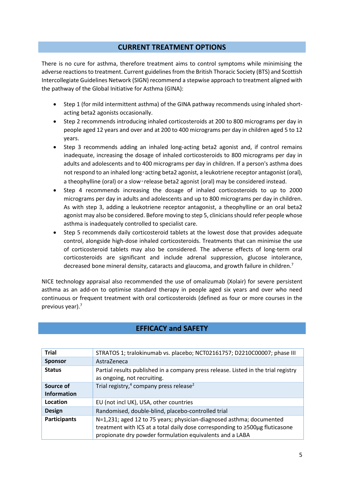## **CURRENT TREATMENT OPTIONS**

There is no cure for asthma, therefore treatment aims to control symptoms while minimising the adverse reactions to treatment. Current guidelines from the British Thoracic Society (BTS) and Scottish Intercollegiate Guidelines Network (SIGN) recommend a stepwise approach to treatment aligned with the pathway of the Global Initiative for Asthma (GINA):

- Step 1 (for mild intermittent asthma) of the GINA pathway recommends using inhaled shortacting beta2 agonists occasionally.
- Step 2 recommends introducing inhaled corticosteroids at 200 to 800 micrograms per day in people aged 12 years and over and at 200 to 400 micrograms per day in children aged 5 to 12 years.
- Step 3 recommends adding an inhaled long-acting beta2 agonist and, if control remains inadequate, increasing the dosage of inhaled corticosteroids to 800 micrograms per day in adults and adolescents and to 400 micrograms per day in children. If a person's asthma does not respond to an inhaled long-acting beta2 agonist, a leukotriene receptor antagonist (oral), a theophylline (oral) or a slow-release beta2 agonist (oral) may be considered instead.
- Step 4 recommends increasing the dosage of inhaled corticosteroids to up to 2000 micrograms per day in adults and adolescents and up to 800 micrograms per day in children. As with step 3, adding a leukotriene receptor antagonist, a theophylline or an oral beta2 agonist may also be considered. Before moving to step 5, clinicians should refer people whose asthma is inadequately controlled to specialist care.
- Step 5 recommends daily corticosteroid tablets at the lowest dose that provides adequate control, alongside high-dose inhaled corticosteroids. Treatments that can minimise the use of corticosteroid tablets may also be considered. The adverse effects of long-term oral corticosteroids are significant and include adrenal suppression, glucose intolerance, decreased bone mineral density, cataracts and glaucoma, and growth failure in children[.](#page-2-0)<sup>7</sup>

NICE technology appraisal also recommended the use of omalizumab (Xolair) for severe persistent asthma as an add-on to optimise standard therapy in people aged six years and over who need continuous or frequent treatment with oral corticosteroids (defined as four or more courses in the previous year)[.](#page-2-0)<sup>7</sup>

| <b>Trial</b>        | STRATOS 1; tralokinumab vs. placebo; NCT02161757; D2210C00007; phase III                                                                                                                                         |  |
|---------------------|------------------------------------------------------------------------------------------------------------------------------------------------------------------------------------------------------------------|--|
| <b>Sponsor</b>      | AstraZeneca                                                                                                                                                                                                      |  |
| <b>Status</b>       | Partial results published in a company press release. Listed in the trial registry<br>as ongoing, not recruiting.                                                                                                |  |
| Source of           | Trial registry, <sup>4</sup> company press release <sup>2</sup>                                                                                                                                                  |  |
| <b>Information</b>  |                                                                                                                                                                                                                  |  |
| Location            | EU (not incl UK), USA, other countries                                                                                                                                                                           |  |
| <b>Design</b>       | Randomised, double-blind, placebo-controlled trial                                                                                                                                                               |  |
| <b>Participants</b> | N=1,231; aged 12 to 75 years; physician-diagnosed asthma; documented<br>treatment with ICS at a total daily dose corresponding to ≥500µg fluticasone<br>propionate dry powder formulation equivalents and a LABA |  |

# **EFFICACY and SAFETY**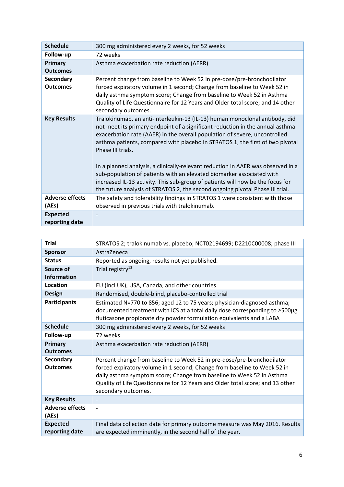| <b>Schedule</b>                     | 300 mg administered every 2 weeks, for 52 weeks                                                                                                                                                                                                                                                                                                                                                                                                                                                                                                                                                                                                                                  |  |  |
|-------------------------------------|----------------------------------------------------------------------------------------------------------------------------------------------------------------------------------------------------------------------------------------------------------------------------------------------------------------------------------------------------------------------------------------------------------------------------------------------------------------------------------------------------------------------------------------------------------------------------------------------------------------------------------------------------------------------------------|--|--|
| Follow-up                           | 72 weeks                                                                                                                                                                                                                                                                                                                                                                                                                                                                                                                                                                                                                                                                         |  |  |
| Primary<br><b>Outcomes</b>          | Asthma exacerbation rate reduction (AERR)                                                                                                                                                                                                                                                                                                                                                                                                                                                                                                                                                                                                                                        |  |  |
| <b>Secondary</b><br><b>Outcomes</b> | Percent change from baseline to Week 52 in pre-dose/pre-bronchodilator<br>forced expiratory volume in 1 second; Change from baseline to Week 52 in<br>daily asthma symptom score; Change from baseline to Week 52 in Asthma<br>Quality of Life Questionnaire for 12 Years and Older total score; and 14 other<br>secondary outcomes.                                                                                                                                                                                                                                                                                                                                             |  |  |
| <b>Key Results</b>                  | Tralokinumab, an anti-interleukin-13 (IL-13) human monoclonal antibody, did<br>not meet its primary endpoint of a significant reduction in the annual asthma<br>exacerbation rate (AAER) in the overall population of severe, uncontrolled<br>asthma patients, compared with placebo in STRATOS 1, the first of two pivotal<br>Phase III trials.<br>In a planned analysis, a clinically-relevant reduction in AAER was observed in a<br>sub-population of patients with an elevated biomarker associated with<br>increased IL-13 activity. This sub-group of patients will now be the focus for<br>the future analysis of STRATOS 2, the second ongoing pivotal Phase III trial. |  |  |
| <b>Adverse effects</b><br>(AEs)     | The safety and tolerability findings in STRATOS 1 were consistent with those<br>observed in previous trials with tralokinumab.                                                                                                                                                                                                                                                                                                                                                                                                                                                                                                                                                   |  |  |
| <b>Expected</b><br>reporting date   |                                                                                                                                                                                                                                                                                                                                                                                                                                                                                                                                                                                                                                                                                  |  |  |

| <b>Trial</b>                      | STRATOS 2; tralokinumab vs. placebo; NCT02194699; D2210C00008; phase III                                                                                                                                                                                                                                                             |  |  |
|-----------------------------------|--------------------------------------------------------------------------------------------------------------------------------------------------------------------------------------------------------------------------------------------------------------------------------------------------------------------------------------|--|--|
| <b>Sponsor</b>                    | AstraZeneca                                                                                                                                                                                                                                                                                                                          |  |  |
| <b>Status</b>                     | Reported as ongoing, results not yet published.                                                                                                                                                                                                                                                                                      |  |  |
| Source of<br><b>Information</b>   | Trial registry <sup>13</sup>                                                                                                                                                                                                                                                                                                         |  |  |
| Location                          | EU (incl UK), USA, Canada, and other countries                                                                                                                                                                                                                                                                                       |  |  |
| <b>Design</b>                     | Randomised, double-blind, placebo-controlled trial                                                                                                                                                                                                                                                                                   |  |  |
| <b>Participants</b>               | Estimated N=770 to 856; aged 12 to 75 years; physician-diagnosed asthma;<br>documented treatment with ICS at a total daily dose corresponding to ≥500µg<br>fluticasone propionate dry powder formulation equivalents and a LABA                                                                                                      |  |  |
| <b>Schedule</b>                   | 300 mg administered every 2 weeks, for 52 weeks                                                                                                                                                                                                                                                                                      |  |  |
| Follow-up                         | 72 weeks                                                                                                                                                                                                                                                                                                                             |  |  |
| Primary<br><b>Outcomes</b>        | Asthma exacerbation rate reduction (AERR)                                                                                                                                                                                                                                                                                            |  |  |
| Secondary<br><b>Outcomes</b>      | Percent change from baseline to Week 52 in pre-dose/pre-bronchodilator<br>forced expiratory volume in 1 second; Change from baseline to Week 52 in<br>daily asthma symptom score; Change from baseline to Week 52 in Asthma<br>Quality of Life Questionnaire for 12 Years and Older total score; and 13 other<br>secondary outcomes. |  |  |
| <b>Key Results</b>                |                                                                                                                                                                                                                                                                                                                                      |  |  |
| <b>Adverse effects</b><br>(AEs)   | $\overline{a}$                                                                                                                                                                                                                                                                                                                       |  |  |
| <b>Expected</b><br>reporting date | Final data collection date for primary outcome measure was May 2016. Results<br>are expected imminently, in the second half of the year.                                                                                                                                                                                             |  |  |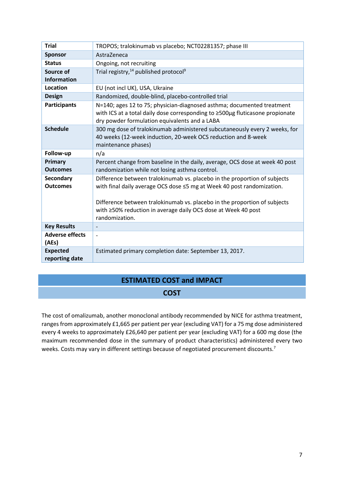| <b>Trial</b>                      | TROPOS; tralokinumab vs placebo; NCT02281357; phase III                                                                                                                                                                                                                                                             |  |  |
|-----------------------------------|---------------------------------------------------------------------------------------------------------------------------------------------------------------------------------------------------------------------------------------------------------------------------------------------------------------------|--|--|
| <b>Sponsor</b>                    | AstraZeneca                                                                                                                                                                                                                                                                                                         |  |  |
| <b>Status</b>                     | Ongoing, not recruiting                                                                                                                                                                                                                                                                                             |  |  |
| Source of                         | Trial registry, <sup>14</sup> published protocol <sup>9</sup>                                                                                                                                                                                                                                                       |  |  |
| <b>Information</b>                |                                                                                                                                                                                                                                                                                                                     |  |  |
| Location                          | EU (not incl UK), USA, Ukraine                                                                                                                                                                                                                                                                                      |  |  |
| <b>Design</b>                     | Randomized, double-blind, placebo-controlled trial                                                                                                                                                                                                                                                                  |  |  |
| <b>Participants</b>               | N=140; ages 12 to 75; physician-diagnosed asthma; documented treatment<br>with ICS at a total daily dose corresponding to ≥500µg fluticasone propionate<br>dry powder formulation equivalents and a LABA                                                                                                            |  |  |
| <b>Schedule</b>                   | 300 mg dose of tralokinumab administered subcutaneously every 2 weeks, for<br>40 weeks (12-week induction, 20-week OCS reduction and 8-week<br>maintenance phases)                                                                                                                                                  |  |  |
| Follow-up                         | n/a                                                                                                                                                                                                                                                                                                                 |  |  |
| Primary<br><b>Outcomes</b>        | Percent change from baseline in the daily, average, OCS dose at week 40 post<br>randomization while not losing asthma control.                                                                                                                                                                                      |  |  |
| Secondary<br><b>Outcomes</b>      | Difference between tralokinumab vs. placebo in the proportion of subjects<br>with final daily average OCS dose ≤5 mg at Week 40 post randomization.<br>Difference between tralokinumab vs. placebo in the proportion of subjects<br>with ≥50% reduction in average daily OCS dose at Week 40 post<br>randomization. |  |  |
| <b>Key Results</b>                |                                                                                                                                                                                                                                                                                                                     |  |  |
| <b>Adverse effects</b><br>(AEs)   |                                                                                                                                                                                                                                                                                                                     |  |  |
| <b>Expected</b><br>reporting date | Estimated primary completion date: September 13, 2017.                                                                                                                                                                                                                                                              |  |  |

# **ESTIMATED COST and IMPACT**

## **COST**

The cost of omalizumab, another monoclonal antibody recommended by NICE for asthma treatment, ranges from approximately £1,665 per patient per year (excluding VAT) for a 75 mg dose administered every 4 weeks to approximately £26,640 per patient per year (excluding VAT) for a 600 mg dose (the maximum recommended dose in the summary of product characteristics) administered every two weeks[.](#page-2-0) Costs may vary in different settings because of negotiated procurement discounts.<sup>7</sup>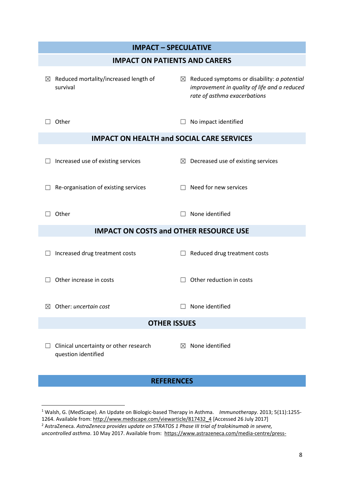| <b>IMPACT - SPECULATIVE</b>                                   |                                                                                                                                         |  |  |  |
|---------------------------------------------------------------|-----------------------------------------------------------------------------------------------------------------------------------------|--|--|--|
| <b>IMPACT ON PATIENTS AND CARERS</b>                          |                                                                                                                                         |  |  |  |
| $\boxtimes$ Reduced mortality/increased length of<br>survival | $\boxtimes$ Reduced symptoms or disability: a potential<br>improvement in quality of life and a reduced<br>rate of asthma exacerbations |  |  |  |
| Other                                                         | No impact identified                                                                                                                    |  |  |  |
| <b>IMPACT ON HEALTH and SOCIAL CARE SERVICES</b>              |                                                                                                                                         |  |  |  |
| Increased use of existing services                            | $\boxtimes$ Decreased use of existing services                                                                                          |  |  |  |
| Re-organisation of existing services                          | Need for new services                                                                                                                   |  |  |  |
| Other                                                         | None identified                                                                                                                         |  |  |  |
| <b>IMPACT ON COSTS and OTHER RESOURCE USE</b>                 |                                                                                                                                         |  |  |  |
| Increased drug treatment costs                                | Reduced drug treatment costs                                                                                                            |  |  |  |
| Other increase in costs                                       | Other reduction in costs                                                                                                                |  |  |  |
| Other: uncertain cost<br>$\bowtie$                            | None identified                                                                                                                         |  |  |  |
| <b>OTHER ISSUES</b>                                           |                                                                                                                                         |  |  |  |
| Clinical uncertainty or other research<br>question identified | None identified<br>⊠                                                                                                                    |  |  |  |

# **REFERENCES**

**.** 

<sup>1</sup> Walsh, G. (MedScape). An Update on Biologic-based Therapy in Asthma. *Immunotherapy*. 2013; 5(11):1255-

<sup>1264.</sup> Available from: [http://www.medscape.com/viewarticle/817432\\_4](http://www.medscape.com/viewarticle/817432_4) [Accessed 26 July 2017]

<sup>2</sup> AstraZeneca. *AstraZeneca provides update on STRATOS 1 Phase III trial of tralokinumab in severe,* 

*uncontrolled asthma*. 10 May 2017. Available from: [https://www.astrazeneca.com/media-centre/press-](https://www.astrazeneca.com/media-centre/press-releases/2017/astrazeneca-provides-update-on-stratos-1-phase-iii-trial-of-tralokinumab-in-severe-uncontrolled-asthma-100517.html)